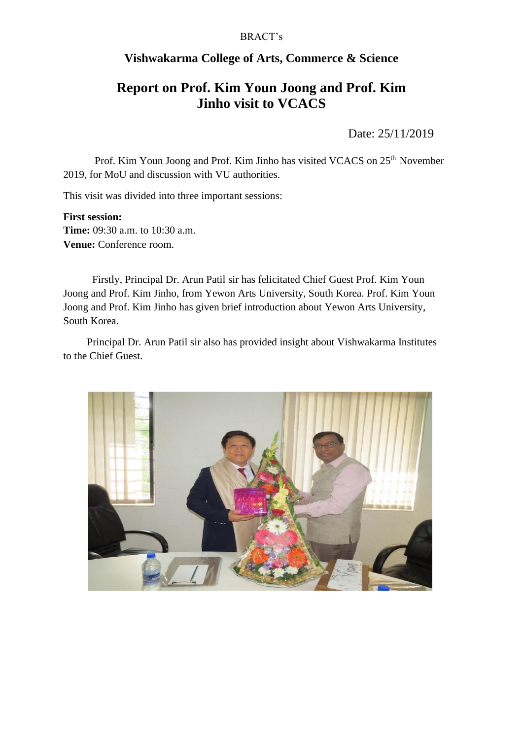# BRACT's

# **Vishwakarma College of Arts, Commerce & Science**

# **Report on Prof. Kim Youn Joong and Prof. Kim Jinho visit to VCACS**

Date: 25/11/2019

Prof. Kim Youn Joong and Prof. Kim Jinho has visited VCACS on 25<sup>th</sup> November 2019, for MoU and discussion with VU authorities.

This visit was divided into three important sessions:

#### **First session:**

**Time:** 09:30 a.m. to 10:30 a.m. **Venue:** Conference room.

 Firstly, Principal Dr. Arun Patil sir has felicitated Chief Guest Prof. Kim Youn Joong and Prof. Kim Jinho, from Yewon Arts University, South Korea. Prof. Kim Youn Joong and Prof. Kim Jinho has given brief introduction about Yewon Arts University, South Korea.

 Principal Dr. Arun Patil sir also has provided insight about Vishwakarma Institutes to the Chief Guest.

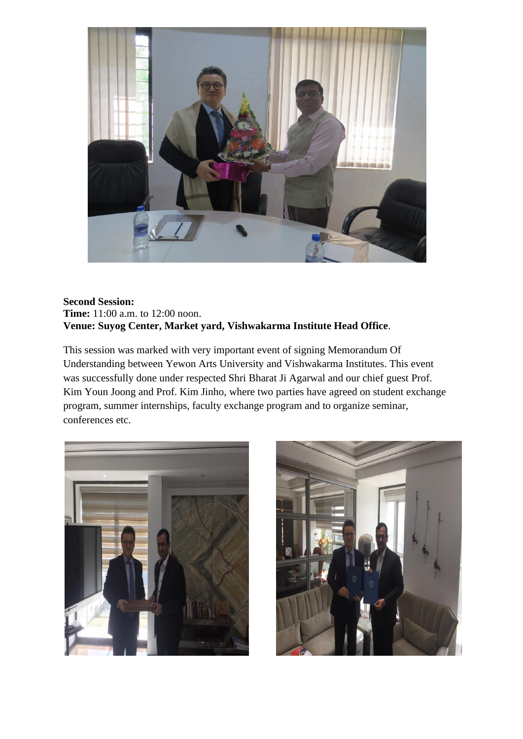

### **Second Session: Time:** 11:00 a.m. to 12:00 noon. **Venue: Suyog Center, Market yard, Vishwakarma Institute Head Office**.

This session was marked with very important event of signing Memorandum Of Understanding between Yewon Arts University and Vishwakarma Institutes. This event was successfully done under respected Shri Bharat Ji Agarwal and our chief guest Prof. Kim Youn Joong and Prof. Kim Jinho, where two parties have agreed on student exchange program, summer internships, faculty exchange program and to organize seminar, conferences etc.